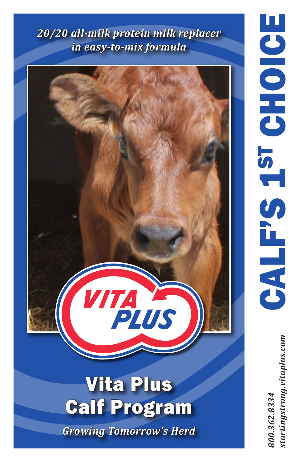*20/20 all-milk protein milk replacer in easy-to-mix formula*



*800.362.8334 startingstrong.vitaplus.com*tartingstrong.vitaplus.com 800.362.8334